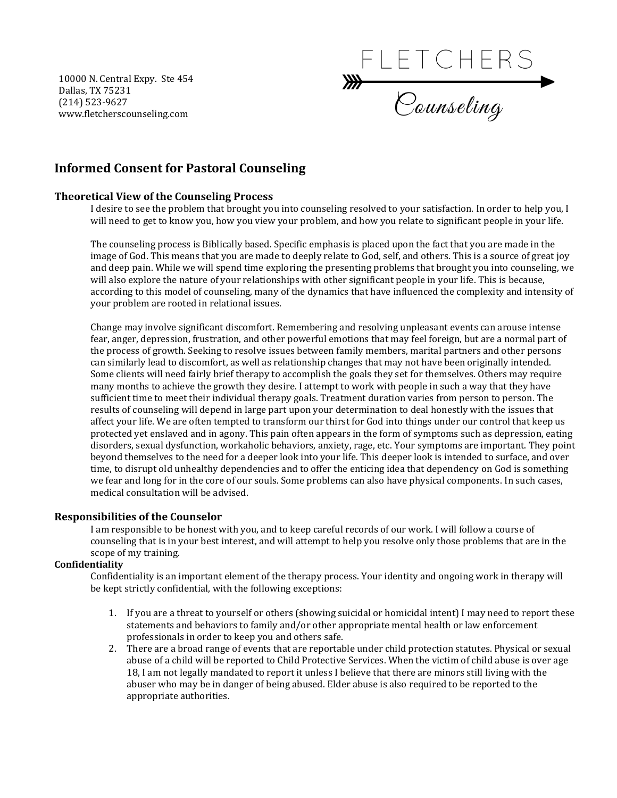10000 N. Central Expy. Ste 454 Dallas, TX 75231 (214) 523-9627 www.fletcherscounseling.com



# **Informed Consent for Pastoral Counseling**

### **Theoretical View of the Counseling Process**

I desire to see the problem that brought you into counseling resolved to your satisfaction. In order to help you, I will need to get to know you, how you view your problem, and how you relate to significant people in your life.

The counseling process is Biblically based. Specific emphasis is placed upon the fact that you are made in the image of God. This means that you are made to deeply relate to God, self, and others. This is a source of great joy and deep pain. While we will spend time exploring the presenting problems that brought you into counseling, we will also explore the nature of your relationships with other significant people in your life. This is because, according to this model of counseling, many of the dynamics that have influenced the complexity and intensity of your problem are rooted in relational issues.

Change may involve significant discomfort. Remembering and resolving unpleasant events can arouse intense fear, anger, depression, frustration, and other powerful emotions that may feel foreign, but are a normal part of the process of growth. Seeking to resolve issues between family members, marital partners and other persons can similarly lead to discomfort, as well as relationship changes that may not have been originally intended. Some clients will need fairly brief therapy to accomplish the goals they set for themselves. Others may require many months to achieve the growth they desire. I attempt to work with people in such a way that they have sufficient time to meet their individual therapy goals. Treatment duration varies from person to person. The results of counseling will depend in large part upon your determination to deal honestly with the issues that affect your life. We are often tempted to transform our thirst for God into things under our control that keep us protected yet enslaved and in agony. This pain often appears in the form of symptoms such as depression, eating disorders, sexual dysfunction, workaholic behaviors, anxiety, rage, etc. Your symptoms are important. They point beyond themselves to the need for a deeper look into your life. This deeper look is intended to surface, and over time, to disrupt old unhealthy dependencies and to offer the enticing idea that dependency on God is something we fear and long for in the core of our souls. Some problems can also have physical components. In such cases, medical consultation will be advised.

### **Responsibilities of the Counselor**

I am responsible to be honest with you, and to keep careful records of our work. I will follow a course of counseling that is in your best interest, and will attempt to help you resolve only those problems that are in the scope of my training.

## **Confidentiality**

Confidentiality is an important element of the therapy process. Your identity and ongoing work in therapy will be kept strictly confidential, with the following exceptions:

- 1. If you are a threat to yourself or others (showing suicidal or homicidal intent) I may need to report these statements and behaviors to family and/or other appropriate mental health or law enforcement professionals in order to keep you and others safe.
- 2. There are a broad range of events that are reportable under child protection statutes. Physical or sexual abuse of a child will be reported to Child Protective Services. When the victim of child abuse is over age 18, I am not legally mandated to report it unless I believe that there are minors still living with the abuser who may be in danger of being abused. Elder abuse is also required to be reported to the appropriate authorities.